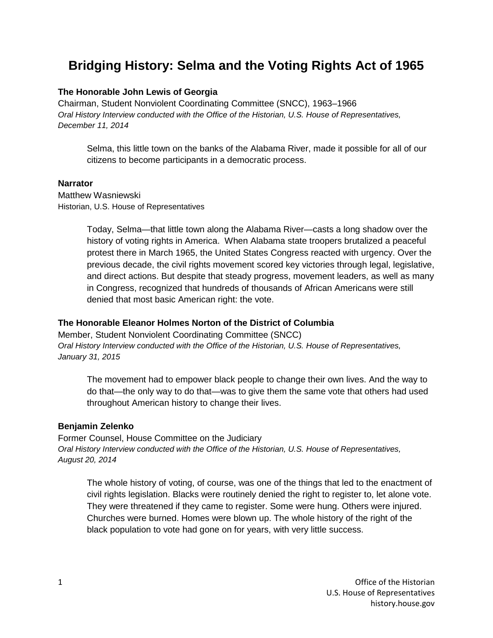# **Bridging History: Selma and the Voting Rights Act of 1965**

# **The Honorable John Lewis of Georgia**

Chairman, Student Nonviolent Coordinating Committee (SNCC), 1963–1966 *Oral History Interview conducted with the Office of the Historian, U.S. House of Representatives, December 11, 2014*

Selma, this little town on the banks of the Alabama River, made it possible for all of our citizens to become participants in a democratic process.

#### **Narrator**

Matthew Wasniewski Historian, U.S. House of Representatives

> Today, Selma—that little town along the Alabama River—casts a long shadow over the history of voting rights in America. When Alabama state troopers brutalized a peaceful protest there in March 1965, the United States Congress reacted with urgency. Over the previous decade, the civil rights movement scored key victories through legal, legislative, and direct actions. But despite that steady progress, movement leaders, as well as many in Congress, recognized that hundreds of thousands of African Americans were still denied that most basic American right: the vote.

## **The Honorable Eleanor Holmes Norton of the District of Columbia**

Member, Student Nonviolent Coordinating Committee (SNCC) *Oral History Interview conducted with the Office of the Historian, U.S. House of Representatives, January 31, 2015*

The movement had to empower black people to change their own lives. And the way to do that—the only way to do that—was to give them the same vote that others had used throughout American history to change their lives.

## **Benjamin Zelenko**

Former Counsel, House Committee on the Judiciary *Oral History Interview conducted with the Office of the Historian, U.S. House of Representatives, August 20, 2014*

The whole history of voting, of course, was one of the things that led to the enactment of civil rights legislation. Blacks were routinely denied the right to register to, let alone vote. They were threatened if they came to register. Some were hung. Others were injured. Churches were burned. Homes were blown up. The whole history of the right of the black population to vote had gone on for years, with very little success.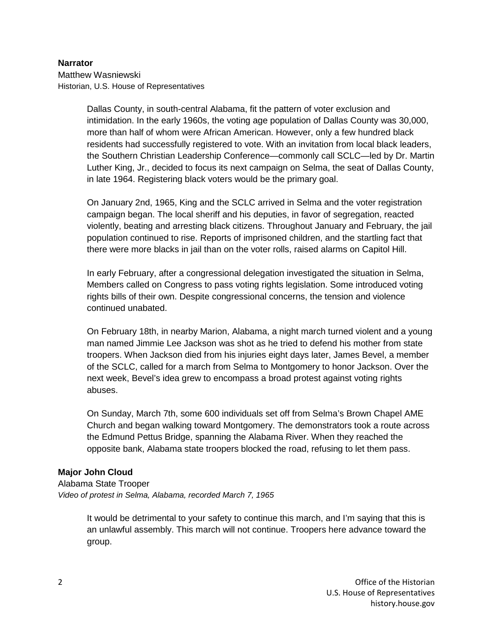#### **Narrator**

Matthew Wasniewski Historian, U.S. House of Representatives

> Dallas County, in south-central Alabama, fit the pattern of voter exclusion and intimidation. In the early 1960s, the voting age population of Dallas County was 30,000, more than half of whom were African American. However, only a few hundred black residents had successfully registered to vote. With an invitation from local black leaders, the Southern Christian Leadership Conference—commonly call SCLC—led by Dr. Martin Luther King, Jr., decided to focus its next campaign on Selma, the seat of Dallas County, in late 1964. Registering black voters would be the primary goal.

> On January 2nd, 1965, King and the SCLC arrived in Selma and the voter registration campaign began. The local sheriff and his deputies, in favor of segregation, reacted violently, beating and arresting black citizens. Throughout January and February, the jail population continued to rise. Reports of imprisoned children, and the startling fact that there were more blacks in jail than on the voter rolls, raised alarms on Capitol Hill.

In early February, after a congressional delegation investigated the situation in Selma, Members called on Congress to pass voting rights legislation. Some introduced voting rights bills of their own. Despite congressional concerns, the tension and violence continued unabated.

On February 18th, in nearby Marion, Alabama, a night march turned violent and a young man named Jimmie Lee Jackson was shot as he tried to defend his mother from state troopers. When Jackson died from his injuries eight days later, James Bevel, a member of the SCLC, called for a march from Selma to Montgomery to honor Jackson. Over the next week, Bevel's idea grew to encompass a broad protest against voting rights abuses.

On Sunday, March 7th, some 600 individuals set off from Selma's Brown Chapel AME Church and began walking toward Montgomery. The demonstrators took a route across the Edmund Pettus Bridge, spanning the Alabama River. When they reached the opposite bank, Alabama state troopers blocked the road, refusing to let them pass.

## **Major John Cloud**

Alabama State Trooper *Video of protest in Selma, Alabama, recorded March 7, 1965*

> It would be detrimental to your safety to continue this march, and I'm saying that this is an unlawful assembly. This march will not continue. Troopers here advance toward the group.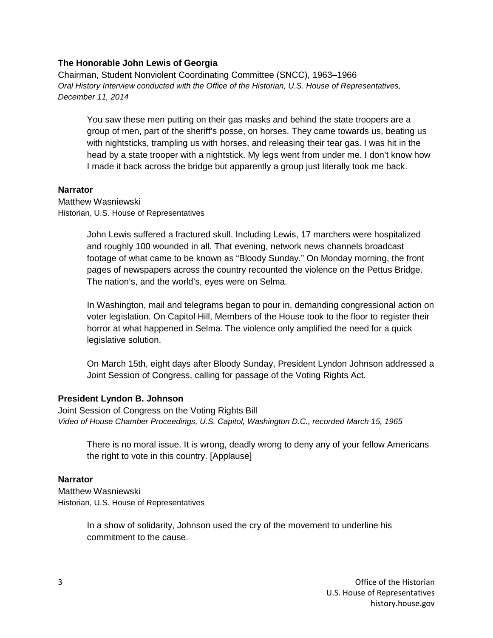#### **The Honorable John Lewis of Georgia**

Chairman, Student Nonviolent Coordinating Committee (SNCC), 1963–1966 *Oral History Interview conducted with the Office of the Historian, U.S. House of Representatives, December 11, 2014*

You saw these men putting on their gas masks and behind the state troopers are a group of men, part of the sheriff's posse, on horses. They came towards us, beating us with nightsticks, trampling us with horses, and releasing their tear gas. I was hit in the head by a state trooper with a nightstick. My legs went from under me. I don't know how I made it back across the bridge but apparently a group just literally took me back.

#### **Narrator**

Matthew Wasniewski Historian, U.S. House of Representatives

> John Lewis suffered a fractured skull. Including Lewis, 17 marchers were hospitalized and roughly 100 wounded in all. That evening, network news channels broadcast footage of what came to be known as "Bloody Sunday." On Monday morning, the front pages of newspapers across the country recounted the violence on the Pettus Bridge. The nation's, and the world's, eyes were on Selma.

In Washington, mail and telegrams began to pour in, demanding congressional action on voter legislation. On Capitol Hill, Members of the House took to the floor to register their horror at what happened in Selma. The violence only amplified the need for a quick legislative solution.

On March 15th, eight days after Bloody Sunday, President Lyndon Johnson addressed a Joint Session of Congress, calling for passage of the Voting Rights Act.

#### **President Lyndon B. Johnson**

Joint Session of Congress on the Voting Rights Bill *Video of House Chamber Proceedings, U.S. Capitol, Washington D.C., recorded March 15, 1965*

There is no moral issue. It is wrong, deadly wrong to deny any of your fellow Americans the right to vote in this country. [Applause]

#### **Narrator**

Matthew Wasniewski Historian, U.S. House of Representatives

> In a show of solidarity, Johnson used the cry of the movement to underline his commitment to the cause.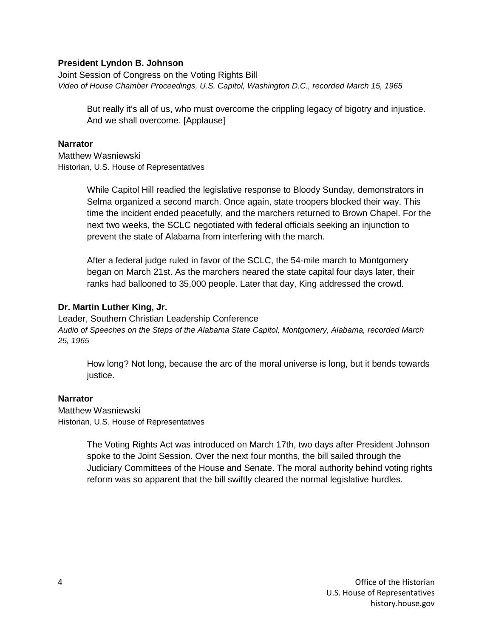## **President Lyndon B. Johnson**

Joint Session of Congress on the Voting Rights Bill *Video of House Chamber Proceedings, U.S. Capitol, Washington D.C., recorded March 15, 1965*

But really it's all of us, who must overcome the crippling legacy of bigotry and injustice. And we shall overcome. [Applause]

#### **Narrator**

Matthew Wasniewski Historian, U.S. House of Representatives

> While Capitol Hill readied the legislative response to Bloody Sunday, demonstrators in Selma organized a second march. Once again, state troopers blocked their way. This time the incident ended peacefully, and the marchers returned to Brown Chapel. For the next two weeks, the SCLC negotiated with federal officials seeking an injunction to prevent the state of Alabama from interfering with the march.

After a federal judge ruled in favor of the SCLC, the 54-mile march to Montgomery began on March 21st. As the marchers neared the state capital four days later, their ranks had ballooned to 35,000 people. Later that day, King addressed the crowd.

#### **Dr. Martin Luther King, Jr.**

Leader, Southern Christian Leadership Conference *Audio of Speeches on the Steps of the Alabama State Capitol, Montgomery, Alabama, recorded March 25, 1965*

How long? Not long, because the arc of the moral universe is long, but it bends towards justice.

## **Narrator**

Matthew Wasniewski Historian, U.S. House of Representatives

> The Voting Rights Act was introduced on March 17th, two days after President Johnson spoke to the Joint Session. Over the next four months, the bill sailed through the Judiciary Committees of the House and Senate. The moral authority behind voting rights reform was so apparent that the bill swiftly cleared the normal legislative hurdles.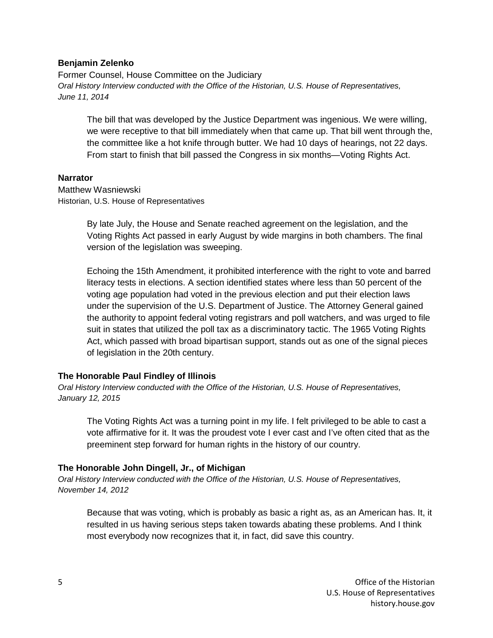#### **Benjamin Zelenko**

Former Counsel, House Committee on the Judiciary *Oral History Interview conducted with the Office of the Historian, U.S. House of Representatives, June 11, 2014*

The bill that was developed by the Justice Department was ingenious. We were willing, we were receptive to that bill immediately when that came up. That bill went through the, the committee like a hot knife through butter. We had 10 days of hearings, not 22 days. From start to finish that bill passed the Congress in six months—Voting Rights Act.

#### **Narrator**

Matthew Wasniewski Historian, U.S. House of Representatives

> By late July, the House and Senate reached agreement on the legislation, and the Voting Rights Act passed in early August by wide margins in both chambers. The final version of the legislation was sweeping.

Echoing the 15th Amendment, it prohibited interference with the right to vote and barred literacy tests in elections. A section identified states where less than 50 percent of the voting age population had voted in the previous election and put their election laws under the supervision of the U.S. Department of Justice. The Attorney General gained the authority to appoint federal voting registrars and poll watchers, and was urged to file suit in states that utilized the poll tax as a discriminatory tactic. The 1965 Voting Rights Act, which passed with broad bipartisan support, stands out as one of the signal pieces of legislation in the 20th century.

## **The Honorable Paul Findley of Illinois**

*Oral History Interview conducted with the Office of the Historian, U.S. House of Representatives, January 12, 2015*

The Voting Rights Act was a turning point in my life. I felt privileged to be able to cast a vote affirmative for it. It was the proudest vote I ever cast and I've often cited that as the preeminent step forward for human rights in the history of our country.

## **The Honorable John Dingell, Jr., of Michigan**

*Oral History Interview conducted with the Office of the Historian, U.S. House of Representatives, November 14, 2012*

Because that was voting, which is probably as basic a right as, as an American has. It, it resulted in us having serious steps taken towards abating these problems. And I think most everybody now recognizes that it, in fact, did save this country.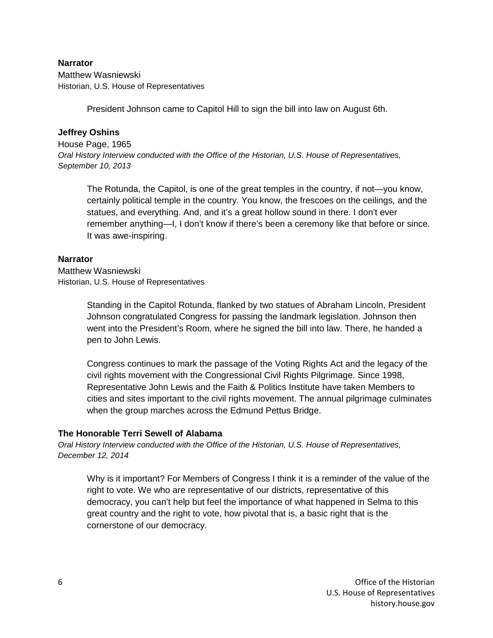# **Narrator**

Matthew Wasniewski Historian, U.S. House of Representatives

President Johnson came to Capitol Hill to sign the bill into law on August 6th.

# **Jeffrey Oshins**

House Page, 1965 *Oral History Interview conducted with the Office of the Historian, U.S. House of Representatives, September 10, 2013*

The Rotunda, the Capitol, is one of the great temples in the country, if not—you know, certainly political temple in the country. You know, the frescoes on the ceilings, and the statues, and everything. And, and it's a great hollow sound in there. I don't ever remember anything—I, I don't know if there's been a ceremony like that before or since. It was awe-inspiring.

# **Narrator**

Matthew Wasniewski Historian, U.S. House of Representatives

> Standing in the Capitol Rotunda, flanked by two statues of Abraham Lincoln, President Johnson congratulated Congress for passing the landmark legislation. Johnson then went into the President's Room, where he signed the bill into law. There, he handed a pen to John Lewis.

Congress continues to mark the passage of the Voting Rights Act and the legacy of the civil rights movement with the Congressional Civil Rights Pilgrimage. Since 1998, Representative John Lewis and the Faith & Politics Institute have taken Members to cities and sites important to the civil rights movement. The annual pilgrimage culminates when the group marches across the Edmund Pettus Bridge.

# **The Honorable Terri Sewell of Alabama**

*Oral History Interview conducted with the Office of the Historian, U.S. House of Representatives, December 12, 2014*

Why is it important? For Members of Congress I think it is a reminder of the value of the right to vote. We who are representative of our districts, representative of this democracy, you can't help but feel the importance of what happened in Selma to this great country and the right to vote, how pivotal that is, a basic right that is the cornerstone of our democracy.